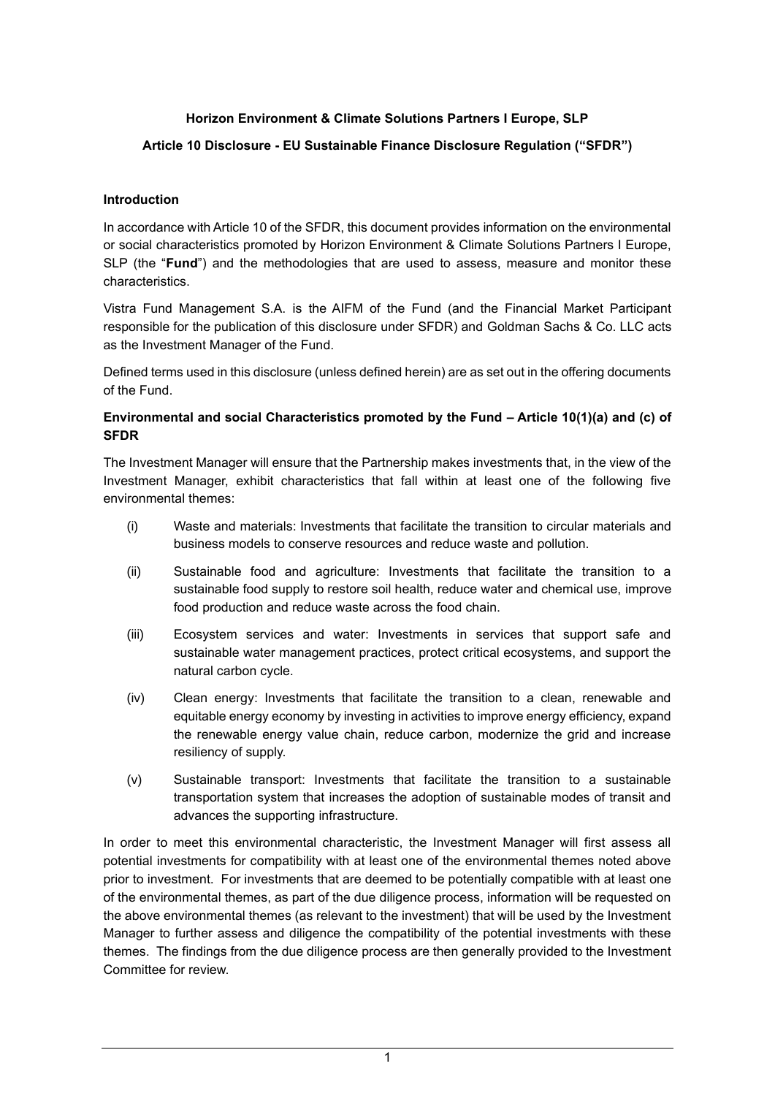### **Horizon Environment & Climate Solutions Partners I Europe, SLP**

### **Article 10 Disclosure - EU Sustainable Finance Disclosure Regulation ("SFDR")**

### **Introduction**

In accordance with Article 10 of the SFDR, this document provides information on the environmental or social characteristics promoted by Horizon Environment & Climate Solutions Partners I Europe, SLP (the "**Fund**") and the methodologies that are used to assess, measure and monitor these characteristics.

Vistra Fund Management S.A. is the AIFM of the Fund (and the Financial Market Participant responsible for the publication of this disclosure under SFDR) and Goldman Sachs & Co. LLC acts as the Investment Manager of the Fund.

Defined terms used in this disclosure (unless defined herein) are as set out in the offering documents of the Fund.

### **Environmental and social Characteristics promoted by the Fund – Article 10(1)(a) and (c) of SFDR**

The Investment Manager will ensure that the Partnership makes investments that, in the view of the Investment Manager, exhibit characteristics that fall within at least one of the following five environmental themes:

- (i) Waste and materials: Investments that facilitate the transition to circular materials and business models to conserve resources and reduce waste and pollution.
- (ii) Sustainable food and agriculture: Investments that facilitate the transition to a sustainable food supply to restore soil health, reduce water and chemical use, improve food production and reduce waste across the food chain.
- (iii) Ecosystem services and water: Investments in services that support safe and sustainable water management practices, protect critical ecosystems, and support the natural carbon cycle.
- (iv) Clean energy: Investments that facilitate the transition to a clean, renewable and equitable energy economy by investing in activities to improve energy efficiency, expand the renewable energy value chain, reduce carbon, modernize the grid and increase resiliency of supply.
- (v) Sustainable transport: Investments that facilitate the transition to a sustainable transportation system that increases the adoption of sustainable modes of transit and advances the supporting infrastructure.

In order to meet this environmental characteristic, the Investment Manager will first assess all potential investments for compatibility with at least one of the environmental themes noted above prior to investment. For investments that are deemed to be potentially compatible with at least one of the environmental themes, as part of the due diligence process, information will be requested on the above environmental themes (as relevant to the investment) that will be used by the Investment Manager to further assess and diligence the compatibility of the potential investments with these themes. The findings from the due diligence process are then generally provided to the Investment Committee for review.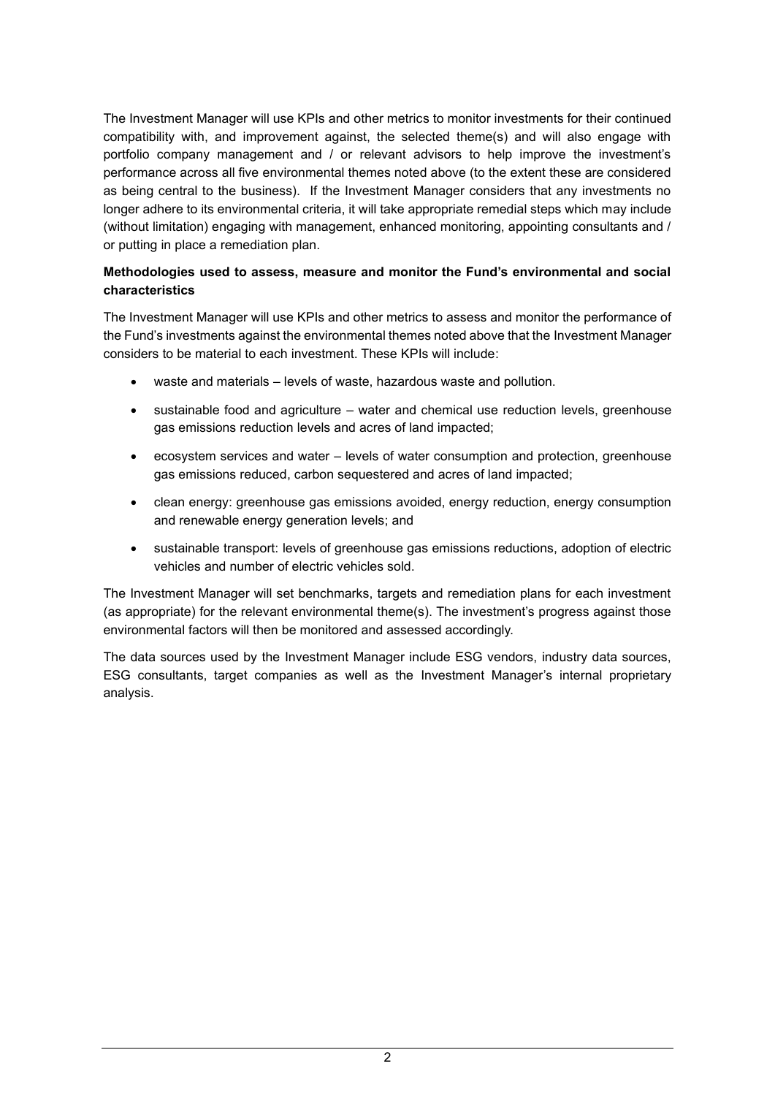The Investment Manager will use KPIs and other metrics to monitor investments for their continued compatibility with, and improvement against, the selected theme(s) and will also engage with portfolio company management and / or relevant advisors to help improve the investment's performance across all five environmental themes noted above (to the extent these are considered as being central to the business). If the Investment Manager considers that any investments no longer adhere to its environmental criteria, it will take appropriate remedial steps which may include (without limitation) engaging with management, enhanced monitoring, appointing consultants and / or putting in place a remediation plan.

### **Methodologies used to assess, measure and monitor the Fund's environmental and social characteristics**

The Investment Manager will use KPIs and other metrics to assess and monitor the performance of the Fund's investments against the environmental themes noted above that the Investment Manager considers to be material to each investment. These KPIs will include:

- waste and materials levels of waste, hazardous waste and pollution.
- sustainable food and agriculture water and chemical use reduction levels, greenhouse gas emissions reduction levels and acres of land impacted;
- ecosystem services and water levels of water consumption and protection, greenhouse gas emissions reduced, carbon sequestered and acres of land impacted;
- clean energy: greenhouse gas emissions avoided, energy reduction, energy consumption and renewable energy generation levels; and
- sustainable transport: levels of greenhouse gas emissions reductions, adoption of electric vehicles and number of electric vehicles sold.

The Investment Manager will set benchmarks, targets and remediation plans for each investment (as appropriate) for the relevant environmental theme(s). The investment's progress against those environmental factors will then be monitored and assessed accordingly.

The data sources used by the Investment Manager include ESG vendors, industry data sources, ESG consultants, target companies as well as the Investment Manager's internal proprietary analysis.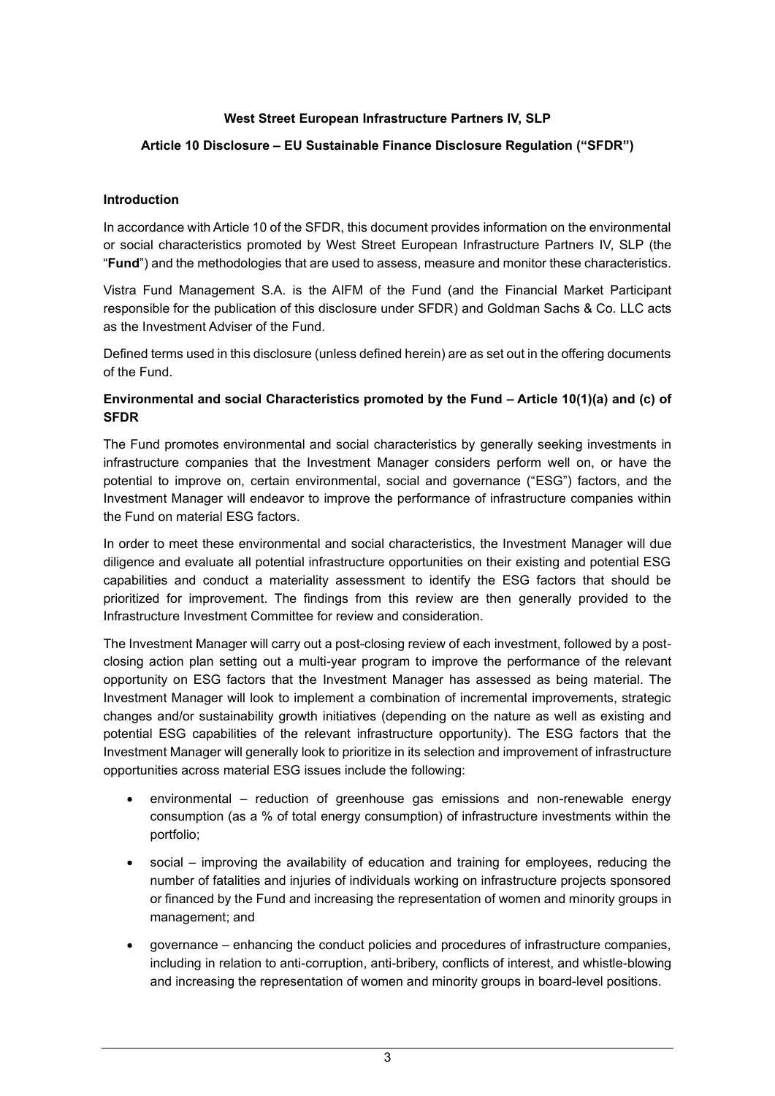### **West Street European Infrastructure Partners IV, SLP**

### **Article 10 Disclosure – EU Sustainable Finance Disclosure Regulation ("SFDR")**

#### **Introduction**

In accordance with Article 10 of the SFDR, this document provides information on the environmental or social characteristics promoted by West Street European Infrastructure Partners IV, SLP (the "**Fund**") and the methodologies that are used to assess, measure and monitor these characteristics.

Vistra Fund Management S.A. is the AIFM of the Fund (and the Financial Market Participant responsible for the publication of this disclosure under SFDR) and Goldman Sachs & Co. LLC acts as the Investment Adviser of the Fund.

Defined terms used in this disclosure (unless defined herein) are as set out in the offering documents of the Fund.

### **Environmental and social Characteristics promoted by the Fund – Article 10(1)(a) and (c) of SFDR**

The Fund promotes environmental and social characteristics by generally seeking investments in infrastructure companies that the Investment Manager considers perform well on, or have the potential to improve on, certain environmental, social and governance ("ESG") factors, and the Investment Manager will endeavor to improve the performance of infrastructure companies within the Fund on material ESG factors.

In order to meet these environmental and social characteristics, the Investment Manager will due diligence and evaluate all potential infrastructure opportunities on their existing and potential ESG capabilities and conduct a materiality assessment to identify the ESG factors that should be prioritized for improvement. The findings from this review are then generally provided to the Infrastructure Investment Committee for review and consideration.

The Investment Manager will carry out a post-closing review of each investment, followed by a postclosing action plan setting out a multi-year program to improve the performance of the relevant opportunity on ESG factors that the Investment Manager has assessed as being material. The Investment Manager will look to implement a combination of incremental improvements, strategic changes and/or sustainability growth initiatives (depending on the nature as well as existing and potential ESG capabilities of the relevant infrastructure opportunity). The ESG factors that the Investment Manager will generally look to prioritize in its selection and improvement of infrastructure opportunities across material ESG issues include the following:

- environmental reduction of greenhouse gas emissions and non-renewable energy consumption (as a % of total energy consumption) of infrastructure investments within the portfolio;
- social improving the availability of education and training for employees, reducing the number of fatalities and injuries of individuals working on infrastructure projects sponsored or financed by the Fund and increasing the representation of women and minority groups in management; and
- governance enhancing the conduct policies and procedures of infrastructure companies, including in relation to anti-corruption, anti-bribery, conflicts of interest, and whistle-blowing and increasing the representation of women and minority groups in board-level positions.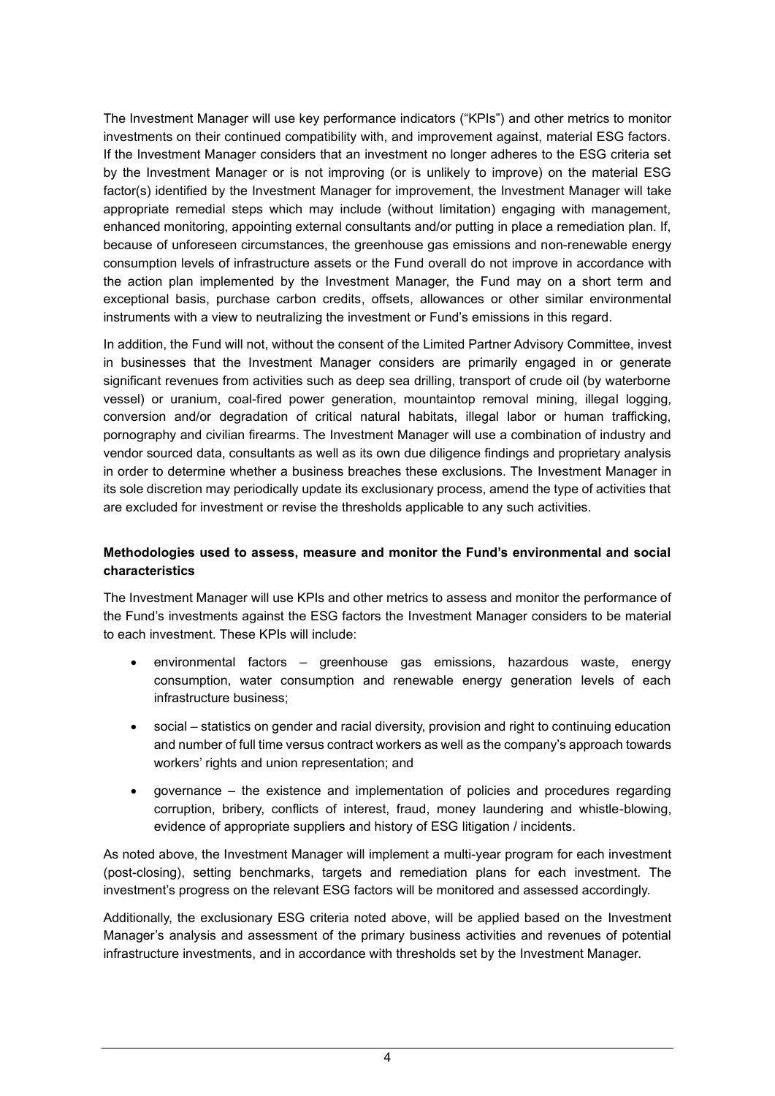The Investment Manager will use key performance indicators ("KPIs") and other metrics to monitor investments on their continued compatibility with, and improvement against, material ESG factors. If the Investment Manager considers that an investment no longer adheres to the ESG criteria set by the Investment Manager or is not improving (or is unlikely to improve) on the material ESG factor(s) identified by the Investment Manager for improvement, the Investment Manager will take appropriate remedial steps which may include (without limitation) engaging with management, enhanced monitoring, appointing external consultants and/or putting in place a remediation plan. If, because of unforeseen circumstances, the greenhouse gas emissions and non-renewable energy consumption levels of infrastructure assets or the Fund overall do not improve in accordance with the action plan implemented by the Investment Manager, the Fund may on a short term and exceptional basis, purchase carbon credits, offsets, allowances or other similar environmental instruments with a view to neutralizing the investment or Fund's emissions in this regard.

In addition, the Fund will not, without the consent of the Limited Partner Advisory Committee, invest in businesses that the Investment Manager considers are primarily engaged in or generate significant revenues from activities such as deep sea drilling, transport of crude oil (by waterborne vessel) or uranium, coal-fired power generation, mountaintop removal mining, illegal logging, conversion and/or degradation of critical natural habitats, illegal labor or human trafficking, pornography and civilian firearms. The Investment Manager will use a combination of industry and vendor sourced data, consultants as well as its own due diligence findings and proprietary analysis in order to determine whether a business breaches these exclusions. The Investment Manager in its sole discretion may periodically update its exclusionary process, amend the type of activities that are excluded for investment or revise the thresholds applicable to any such activities.

### **Methodologies used to assess, measure and monitor the Fund's environmental and social characteristics**

The Investment Manager will use KPIs and other metrics to assess and monitor the performance of the Fund's investments against the ESG factors the Investment Manager considers to be material to each investment. These KPIs will include:

- environmental factors greenhouse gas emissions, hazardous waste, energy consumption, water consumption and renewable energy generation levels of each infrastructure business;
- social statistics on gender and racial diversity, provision and right to continuing education and number of full time versus contract workers as well as the company's approach towards workers' rights and union representation; and
- governance the existence and implementation of policies and procedures regarding corruption, bribery, conflicts of interest, fraud, money laundering and whistle-blowing, evidence of appropriate suppliers and history of ESG litigation / incidents.

As noted above, the Investment Manager will implement a multi-year program for each investment (post-closing), setting benchmarks, targets and remediation plans for each investment. The investment's progress on the relevant ESG factors will be monitored and assessed accordingly.

Additionally, the exclusionary ESG criteria noted above, will be applied based on the Investment Manager's analysis and assessment of the primary business activities and revenues of potential infrastructure investments, and in accordance with thresholds set by the Investment Manager.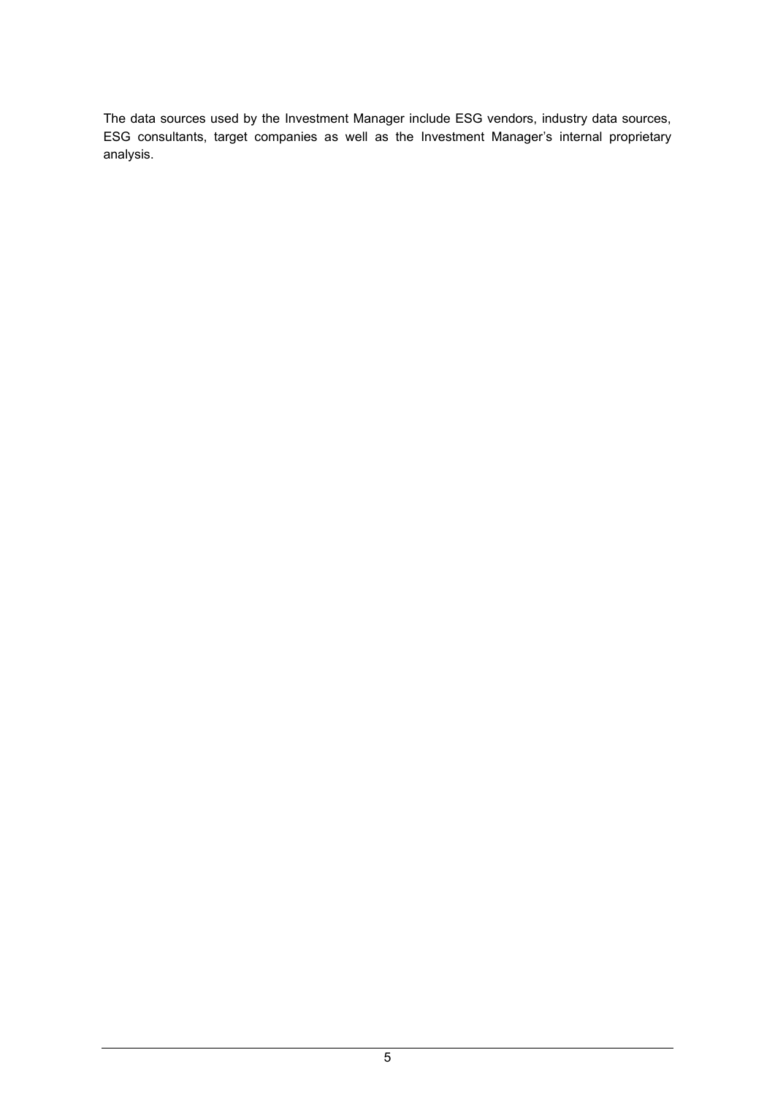The data sources used by the Investment Manager include ESG vendors, industry data sources, ESG consultants, target companies as well as the Investment Manager's internal proprietary analysis.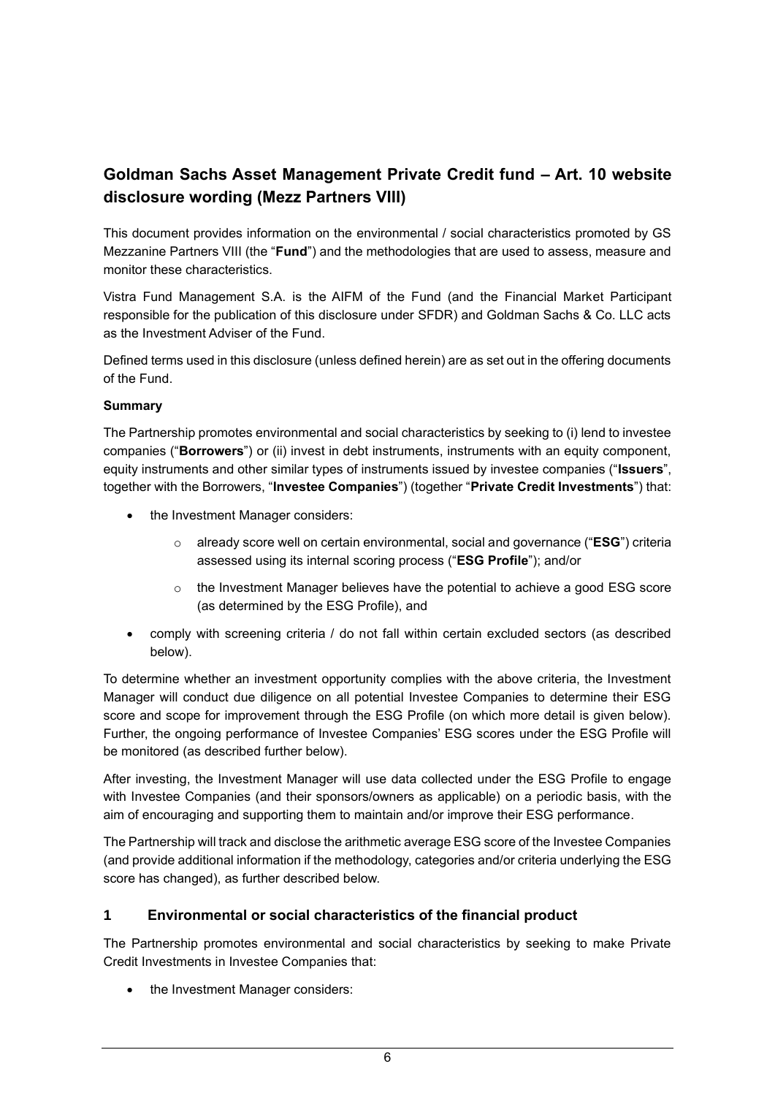## **Goldman Sachs Asset Management Private Credit fund – Art. 10 website disclosure wording (Mezz Partners VIII)**

This document provides information on the environmental / social characteristics promoted by GS Mezzanine Partners VIII (the "**Fund**") and the methodologies that are used to assess, measure and monitor these characteristics.

Vistra Fund Management S.A. is the AIFM of the Fund (and the Financial Market Participant responsible for the publication of this disclosure under SFDR) and Goldman Sachs & Co. LLC acts as the Investment Adviser of the Fund.

Defined terms used in this disclosure (unless defined herein) are as set out in the offering documents of the Fund.

### **Summary**

The Partnership promotes environmental and social characteristics by seeking to (i) lend to investee companies ("**Borrowers**") or (ii) invest in debt instruments, instruments with an equity component, equity instruments and other similar types of instruments issued by investee companies ("**Issuers**", together with the Borrowers, "**Investee Companies**") (together "**Private Credit Investments**") that:

- the Investment Manager considers:
	- o already score well on certain environmental, social and governance ("**ESG**") criteria assessed using its internal scoring process ("**ESG Profile**"); and/or
	- $\circ$  the Investment Manager believes have the potential to achieve a good ESG score (as determined by the ESG Profile), and
- comply with screening criteria / do not fall within certain excluded sectors (as described below).

To determine whether an investment opportunity complies with the above criteria, the Investment Manager will conduct due diligence on all potential Investee Companies to determine their ESG score and scope for improvement through the ESG Profile (on which more detail is given below). Further, the ongoing performance of Investee Companies' ESG scores under the ESG Profile will be monitored (as described further below).

After investing, the Investment Manager will use data collected under the ESG Profile to engage with Investee Companies (and their sponsors/owners as applicable) on a periodic basis, with the aim of encouraging and supporting them to maintain and/or improve their ESG performance.

The Partnership will track and disclose the arithmetic average ESG score of the Investee Companies (and provide additional information if the methodology, categories and/or criteria underlying the ESG score has changed), as further described below.

### **1 Environmental or social characteristics of the financial product**

The Partnership promotes environmental and social characteristics by seeking to make Private Credit Investments in Investee Companies that:

• the Investment Manager considers: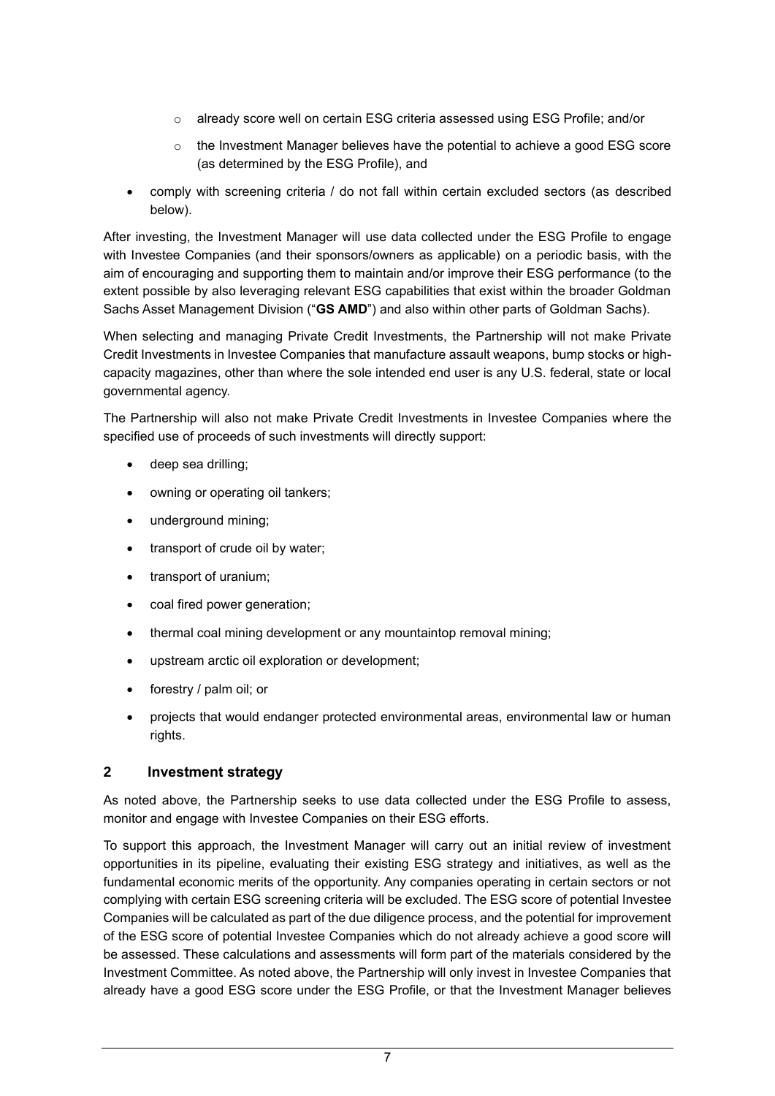- o already score well on certain ESG criteria assessed using ESG Profile; and/or
- $\circ$  the Investment Manager believes have the potential to achieve a good ESG score (as determined by the ESG Profile), and
- comply with screening criteria / do not fall within certain excluded sectors (as described below).

After investing, the Investment Manager will use data collected under the ESG Profile to engage with Investee Companies (and their sponsors/owners as applicable) on a periodic basis, with the aim of encouraging and supporting them to maintain and/or improve their ESG performance (to the extent possible by also leveraging relevant ESG capabilities that exist within the broader Goldman Sachs Asset Management Division ("**GS AMD**") and also within other parts of Goldman Sachs).

When selecting and managing Private Credit Investments, the Partnership will not make Private Credit Investments in Investee Companies that manufacture assault weapons, bump stocks or highcapacity magazines, other than where the sole intended end user is any U.S. federal, state or local governmental agency.

The Partnership will also not make Private Credit Investments in Investee Companies where the specified use of proceeds of such investments will directly support:

- deep sea drilling;
- owning or operating oil tankers;
- underground mining;
- transport of crude oil by water;
- transport of uranium;
- coal fired power generation;
- thermal coal mining development or any mountaintop removal mining;
- upstream arctic oil exploration or development;
- forestry / palm oil; or
- projects that would endanger protected environmental areas, environmental law or human rights.

### **2 Investment strategy**

As noted above, the Partnership seeks to use data collected under the ESG Profile to assess, monitor and engage with Investee Companies on their ESG efforts.

To support this approach, the Investment Manager will carry out an initial review of investment opportunities in its pipeline, evaluating their existing ESG strategy and initiatives, as well as the fundamental economic merits of the opportunity. Any companies operating in certain sectors or not complying with certain ESG screening criteria will be excluded. The ESG score of potential Investee Companies will be calculated as part of the due diligence process, and the potential for improvement of the ESG score of potential Investee Companies which do not already achieve a good score will be assessed. These calculations and assessments will form part of the materials considered by the Investment Committee. As noted above, the Partnership will only invest in Investee Companies that already have a good ESG score under the ESG Profile, or that the Investment Manager believes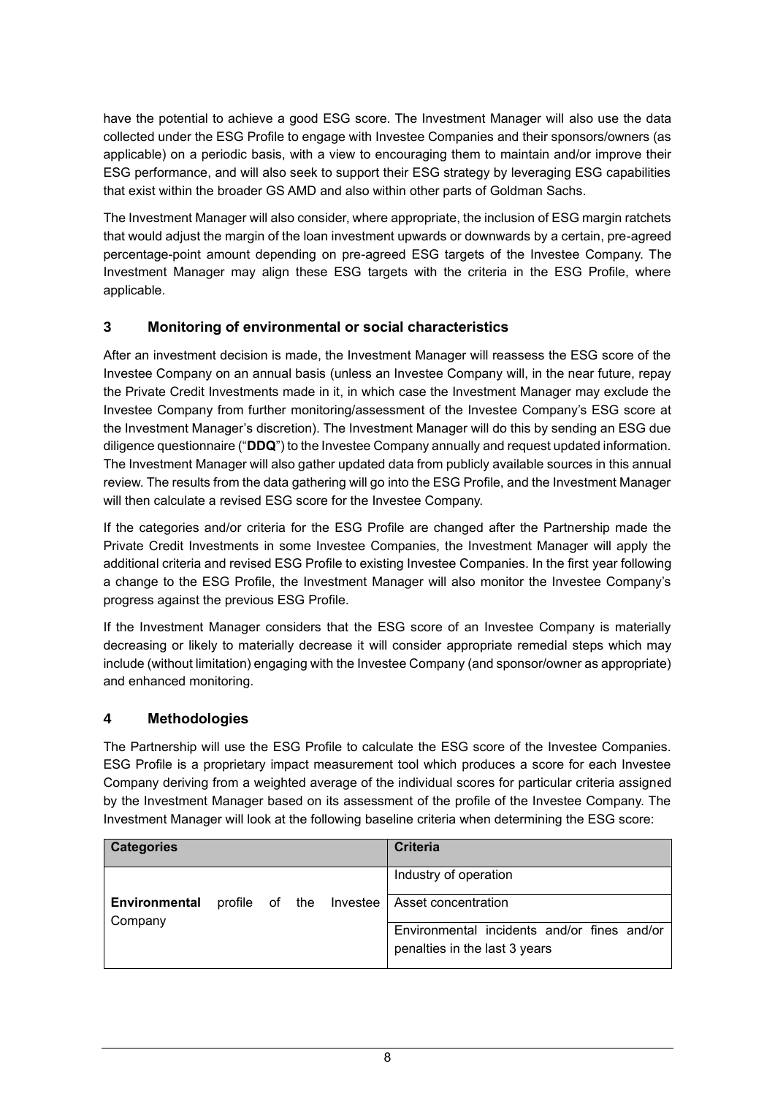have the potential to achieve a good ESG score. The Investment Manager will also use the data collected under the ESG Profile to engage with Investee Companies and their sponsors/owners (as applicable) on a periodic basis, with a view to encouraging them to maintain and/or improve their ESG performance, and will also seek to support their ESG strategy by leveraging ESG capabilities that exist within the broader GS AMD and also within other parts of Goldman Sachs.

The Investment Manager will also consider, where appropriate, the inclusion of ESG margin ratchets that would adjust the margin of the loan investment upwards or downwards by a certain, pre-agreed percentage-point amount depending on pre-agreed ESG targets of the Investee Company. The Investment Manager may align these ESG targets with the criteria in the ESG Profile, where applicable.

## **3 Monitoring of environmental or social characteristics**

After an investment decision is made, the Investment Manager will reassess the ESG score of the Investee Company on an annual basis (unless an Investee Company will, in the near future, repay the Private Credit Investments made in it, in which case the Investment Manager may exclude the Investee Company from further monitoring/assessment of the Investee Company's ESG score at the Investment Manager's discretion). The Investment Manager will do this by sending an ESG due diligence questionnaire ("**DDQ**") to the Investee Company annually and request updated information. The Investment Manager will also gather updated data from publicly available sources in this annual review. The results from the data gathering will go into the ESG Profile, and the Investment Manager will then calculate a revised ESG score for the Investee Company.

If the categories and/or criteria for the ESG Profile are changed after the Partnership made the Private Credit Investments in some Investee Companies, the Investment Manager will apply the additional criteria and revised ESG Profile to existing Investee Companies. In the first year following a change to the ESG Profile, the Investment Manager will also monitor the Investee Company's progress against the previous ESG Profile.

If the Investment Manager considers that the ESG score of an Investee Company is materially decreasing or likely to materially decrease it will consider appropriate remedial steps which may include (without limitation) engaging with the Investee Company (and sponsor/owner as appropriate) and enhanced monitoring.

### **4 Methodologies**

The Partnership will use the ESG Profile to calculate the ESG score of the Investee Companies. ESG Profile is a proprietary impact measurement tool which produces a score for each Investee Company deriving from a weighted average of the individual scores for particular criteria assigned by the Investment Manager based on its assessment of the profile of the Investee Company. The Investment Manager will look at the following baseline criteria when determining the ESG score:

| <b>Categories</b>               |  |                         | <b>Criteria</b>                             |
|---------------------------------|--|-------------------------|---------------------------------------------|
|                                 |  |                         | Industry of operation                       |
| <b>Environmental</b><br>Company |  | profile of the Investee | Asset concentration                         |
|                                 |  |                         | Environmental incidents and/or fines and/or |
|                                 |  |                         | penalties in the last 3 years               |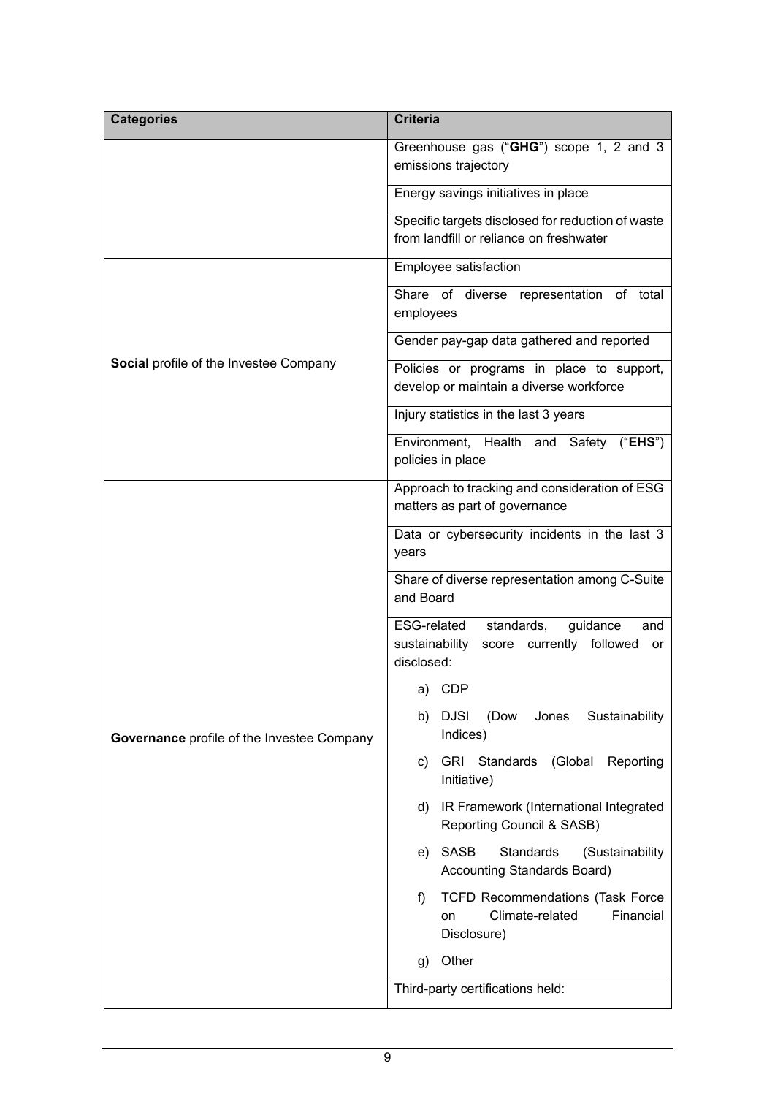| <b>Categories</b>                          | <b>Criteria</b>                                                                                                |
|--------------------------------------------|----------------------------------------------------------------------------------------------------------------|
|                                            | Greenhouse gas ("GHG") scope 1, 2 and 3<br>emissions trajectory                                                |
|                                            | Energy savings initiatives in place                                                                            |
|                                            | Specific targets disclosed for reduction of waste<br>from landfill or reliance on freshwater                   |
|                                            | Employee satisfaction                                                                                          |
|                                            | Share of diverse representation of total<br>employees                                                          |
|                                            | Gender pay-gap data gathered and reported                                                                      |
| Social profile of the Investee Company     | Policies or programs in place to support,<br>develop or maintain a diverse workforce                           |
|                                            | Injury statistics in the last 3 years                                                                          |
|                                            | Environment, Health and Safety ("EHS")<br>policies in place                                                    |
|                                            | Approach to tracking and consideration of ESG<br>matters as part of governance                                 |
|                                            | Data or cybersecurity incidents in the last 3<br>years                                                         |
|                                            | Share of diverse representation among C-Suite<br>and Board                                                     |
|                                            | ESG-related<br>standards,<br>guidance<br>and<br>sustainability<br>score currently followed<br>or<br>disclosed: |
|                                            | a) CDP                                                                                                         |
| Governance profile of the Investee Company | <b>DJSI</b><br>(Dow<br>Sustainability<br>b)<br>Jones<br>Indices)                                               |
|                                            | <b>GRI</b><br>Standards<br>(Global Reporting<br>c)<br>Initiative)                                              |
|                                            | IR Framework (International Integrated<br>d)<br>Reporting Council & SASB)                                      |
|                                            | <b>SASB</b><br>Standards<br>(Sustainability<br>e)<br>Accounting Standards Board)                               |
|                                            | <b>TCFD Recommendations (Task Force</b><br>f)<br>Climate-related<br>Financial<br>on<br>Disclosure)             |
|                                            | Other<br>g)                                                                                                    |
|                                            | Third-party certifications held:                                                                               |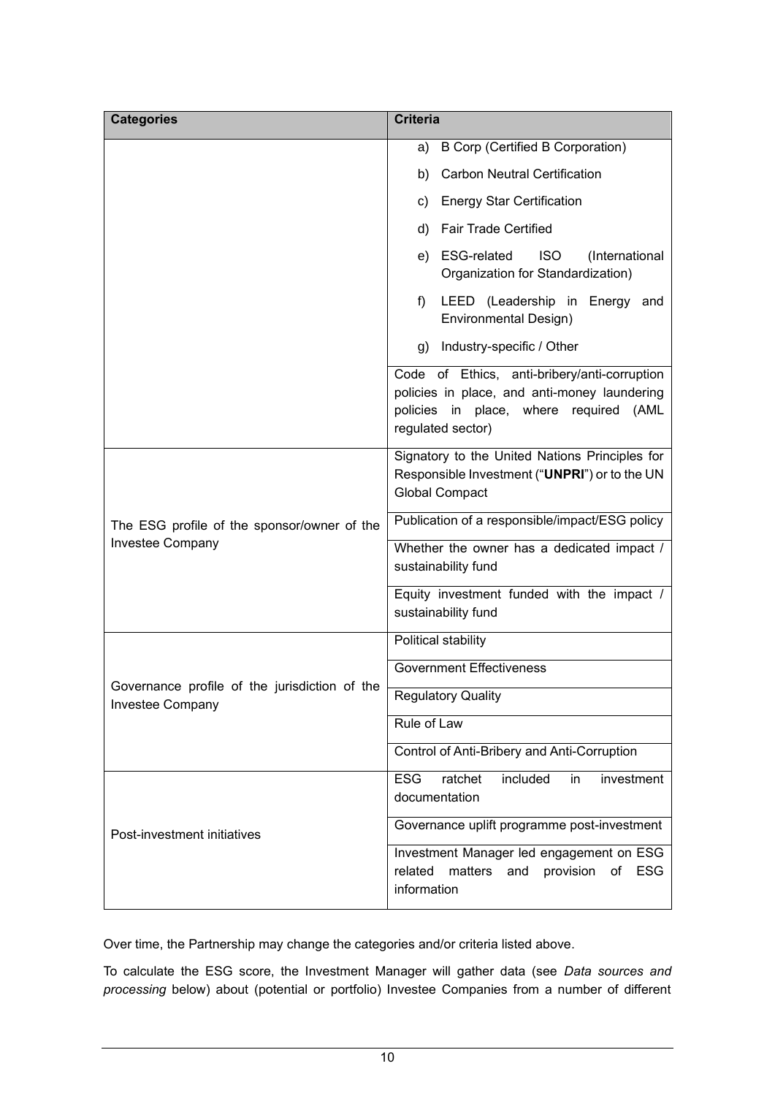| <b>Categories</b>                                                 | <b>Criteria</b>                                                                                                                                             |
|-------------------------------------------------------------------|-------------------------------------------------------------------------------------------------------------------------------------------------------------|
|                                                                   | <b>B Corp (Certified B Corporation)</b><br>a)                                                                                                               |
|                                                                   | <b>Carbon Neutral Certification</b><br>b)                                                                                                                   |
|                                                                   | <b>Energy Star Certification</b><br>C)                                                                                                                      |
|                                                                   | <b>Fair Trade Certified</b><br>d)                                                                                                                           |
|                                                                   | <b>ISO</b><br>ESG-related<br>(International<br>e)<br>Organization for Standardization)                                                                      |
|                                                                   | LEED (Leadership in Energy and<br>f)<br><b>Environmental Design)</b>                                                                                        |
|                                                                   | Industry-specific / Other<br>g)                                                                                                                             |
|                                                                   | Code of Ethics, anti-bribery/anti-corruption<br>policies in place, and anti-money laundering<br>policies in place, where required (AML<br>regulated sector) |
|                                                                   | Signatory to the United Nations Principles for<br>Responsible Investment ("UNPRI") or to the UN<br><b>Global Compact</b>                                    |
| The ESG profile of the sponsor/owner of the                       | Publication of a responsible/impact/ESG policy                                                                                                              |
| Investee Company                                                  | Whether the owner has a dedicated impact /<br>sustainability fund                                                                                           |
|                                                                   | Equity investment funded with the impact /<br>sustainability fund                                                                                           |
|                                                                   | Political stability                                                                                                                                         |
|                                                                   | <b>Government Effectiveness</b>                                                                                                                             |
| Governance profile of the jurisdiction of the<br>Investee Company | <b>Regulatory Quality</b>                                                                                                                                   |
|                                                                   | Rule of Law                                                                                                                                                 |
|                                                                   | Control of Anti-Bribery and Anti-Corruption                                                                                                                 |
|                                                                   | <b>ESG</b><br>ratchet<br>included<br>investment<br>in.<br>documentation                                                                                     |
| Post-investment initiatives                                       | Governance uplift programme post-investment                                                                                                                 |
|                                                                   | Investment Manager led engagement on ESG<br>provision of ESG<br>related matters and<br>information                                                          |

Over time, the Partnership may change the categories and/or criteria listed above.

To calculate the ESG score, the Investment Manager will gather data (see *Data sources and processing* below) about (potential or portfolio) Investee Companies from a number of different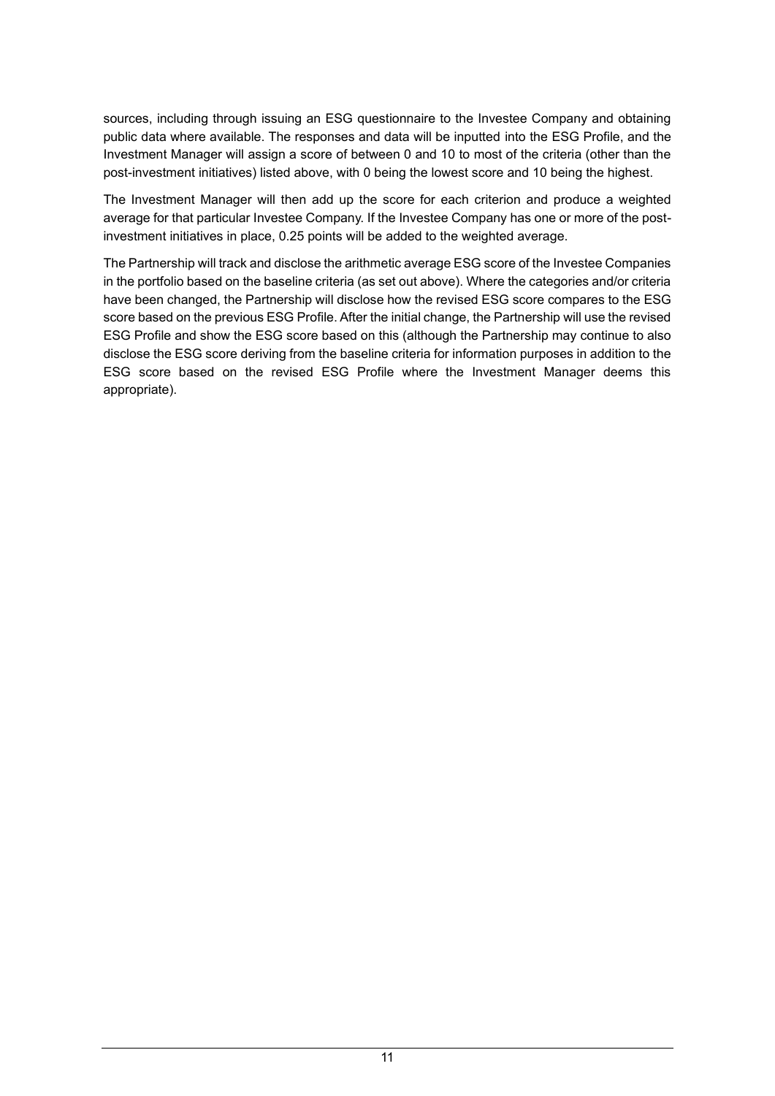sources, including through issuing an ESG questionnaire to the Investee Company and obtaining public data where available. The responses and data will be inputted into the ESG Profile, and the Investment Manager will assign a score of between 0 and 10 to most of the criteria (other than the post-investment initiatives) listed above, with 0 being the lowest score and 10 being the highest.

The Investment Manager will then add up the score for each criterion and produce a weighted average for that particular Investee Company. If the Investee Company has one or more of the postinvestment initiatives in place, 0.25 points will be added to the weighted average.

The Partnership will track and disclose the arithmetic average ESG score of the Investee Companies in the portfolio based on the baseline criteria (as set out above). Where the categories and/or criteria have been changed, the Partnership will disclose how the revised ESG score compares to the ESG score based on the previous ESG Profile. After the initial change, the Partnership will use the revised ESG Profile and show the ESG score based on this (although the Partnership may continue to also disclose the ESG score deriving from the baseline criteria for information purposes in addition to the ESG score based on the revised ESG Profile where the Investment Manager deems this appropriate).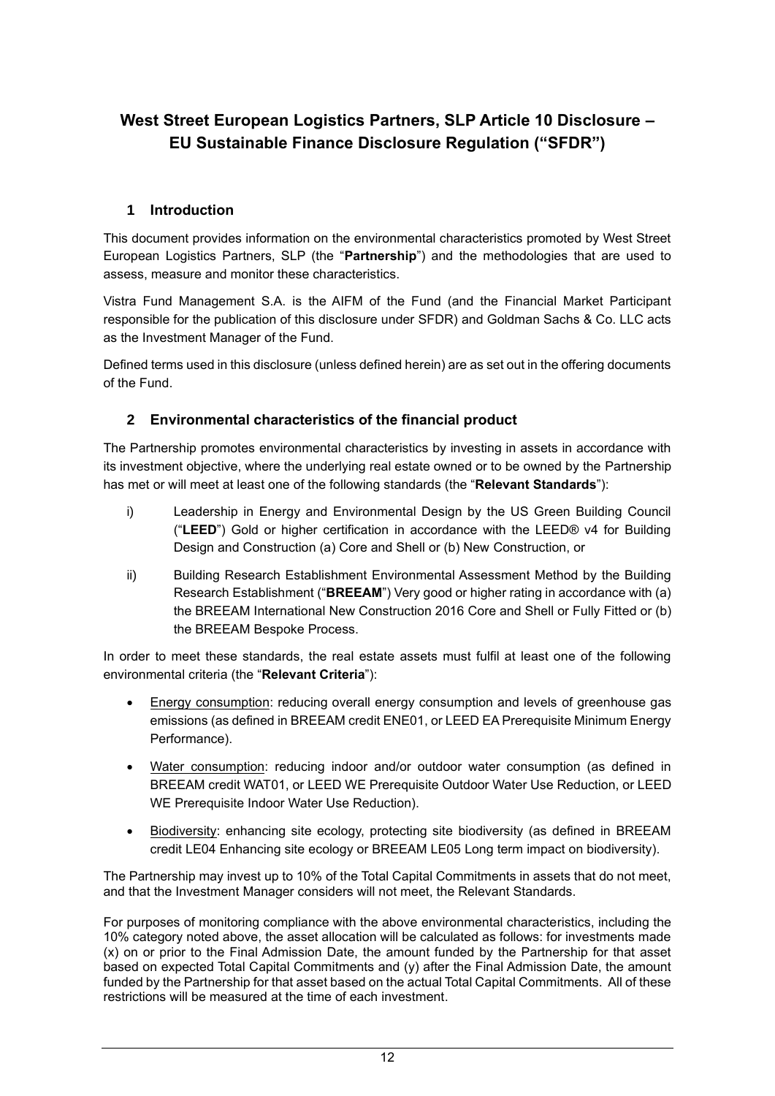# **West Street European Logistics Partners, SLP Article 10 Disclosure – EU Sustainable Finance Disclosure Regulation ("SFDR")**

## **1 Introduction**

This document provides information on the environmental characteristics promoted by West Street European Logistics Partners, SLP (the "**Partnership**") and the methodologies that are used to assess, measure and monitor these characteristics.

Vistra Fund Management S.A. is the AIFM of the Fund (and the Financial Market Participant responsible for the publication of this disclosure under SFDR) and Goldman Sachs & Co. LLC acts as the Investment Manager of the Fund.

Defined terms used in this disclosure (unless defined herein) are as set out in the offering documents of the Fund.

## **2 Environmental characteristics of the financial product**

The Partnership promotes environmental characteristics by investing in assets in accordance with its investment objective, where the underlying real estate owned or to be owned by the Partnership has met or will meet at least one of the following standards (the "**Relevant Standards**"):

- i) Leadership in Energy and Environmental Design by the US Green Building Council ("**LEED**") Gold or higher certification in accordance with the LEED® v4 for Building Design and Construction (a) Core and Shell or (b) New Construction, or
- ii) Building Research Establishment Environmental Assessment Method by the Building Research Establishment ("**BREEAM**") Very good or higher rating in accordance with (a) the BREEAM International New Construction 2016 Core and Shell or Fully Fitted or (b) the BREEAM Bespoke Process.

In order to meet these standards, the real estate assets must fulfil at least one of the following environmental criteria (the "**Relevant Criteria**"):

- Energy consumption: reducing overall energy consumption and levels of greenhouse gas emissions (as defined in BREEAM credit ENE01, or LEED EA Prerequisite Minimum Energy Performance).
- Water consumption: reducing indoor and/or outdoor water consumption (as defined in BREEAM credit WAT01, or LEED WE Prerequisite Outdoor Water Use Reduction, or LEED WE Prerequisite Indoor Water Use Reduction).
- Biodiversity: enhancing site ecology, protecting site biodiversity (as defined in BREEAM credit LE04 Enhancing site ecology or BREEAM LE05 Long term impact on biodiversity).

The Partnership may invest up to 10% of the Total Capital Commitments in assets that do not meet, and that the Investment Manager considers will not meet, the Relevant Standards.

For purposes of monitoring compliance with the above environmental characteristics, including the 10% category noted above, the asset allocation will be calculated as follows: for investments made (x) on or prior to the Final Admission Date, the amount funded by the Partnership for that asset based on expected Total Capital Commitments and (y) after the Final Admission Date, the amount funded by the Partnership for that asset based on the actual Total Capital Commitments. All of these restrictions will be measured at the time of each investment.